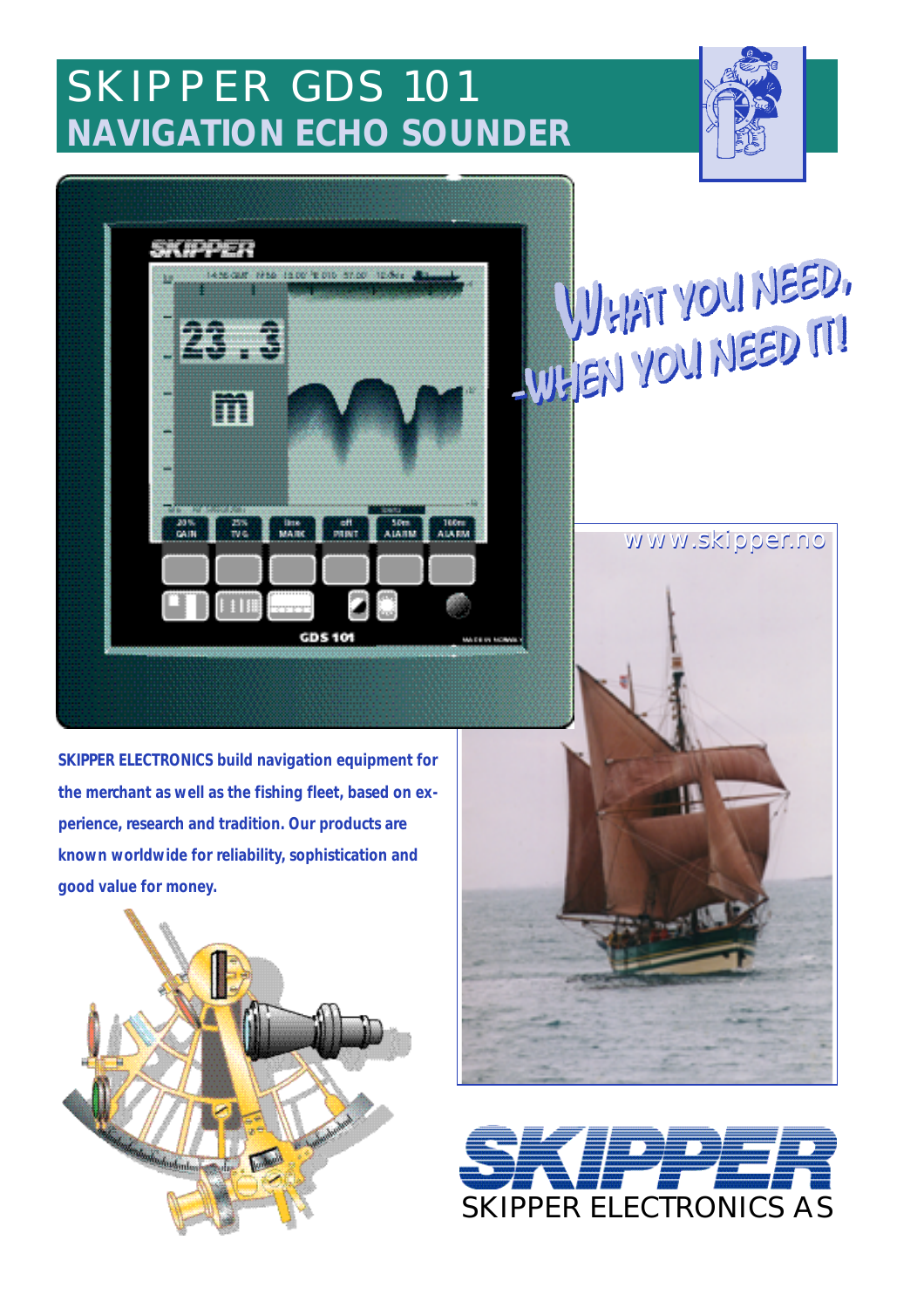## SKIPPER GDS 101 **NAVIGATION ECHO SOUNDER**





**SKIPPER ELECTRONICS build navigation equipment for the merchant as well as the fishing fleet, based on experience, research and tradition. Our products are known worldwide for reliability, sophistication and good value for money.**



# VUHAT YOU NEED, WHEN YOU NEED IT!



www.skipper.no

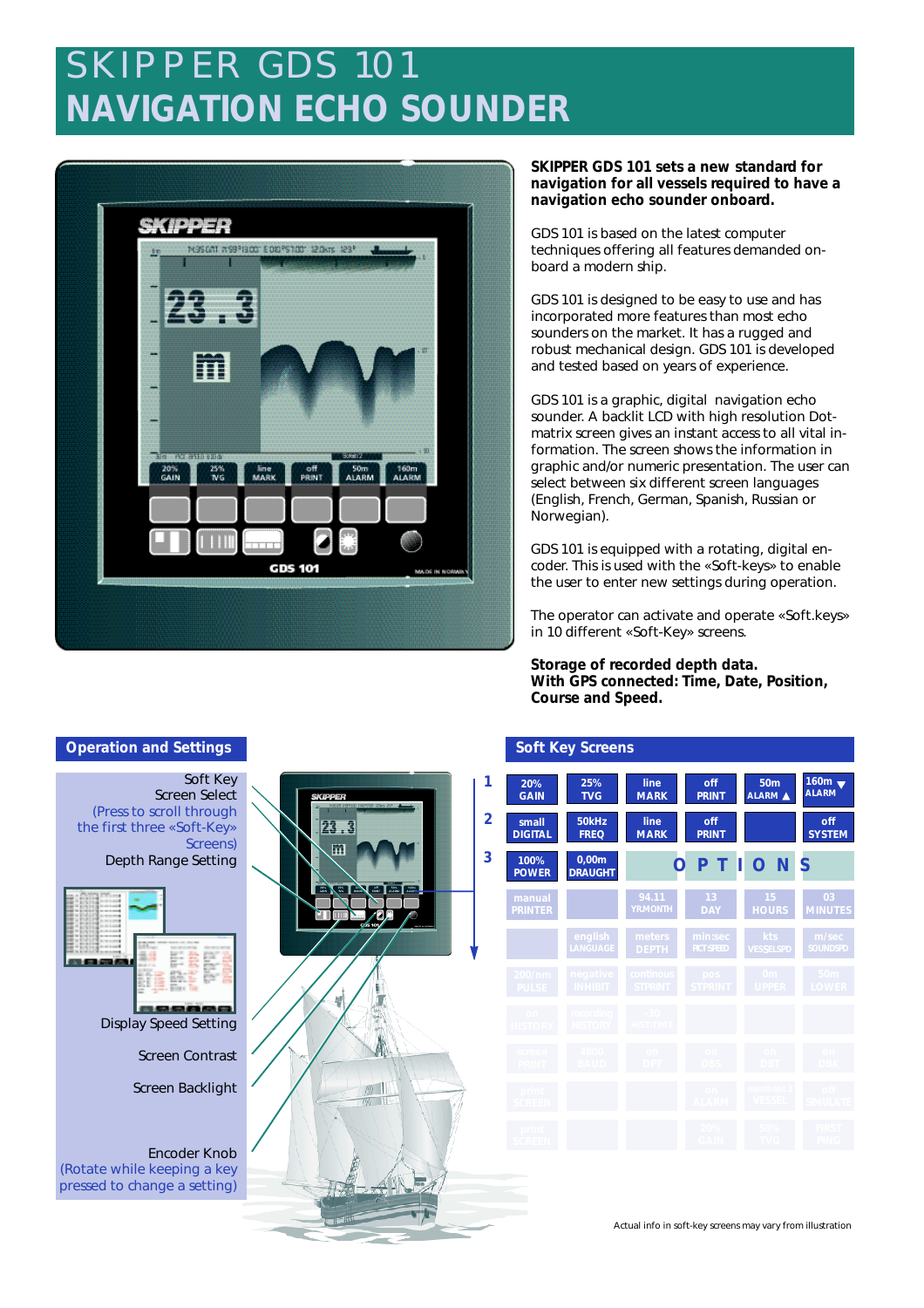### SKIPPER GDS 101 **NAVIGATION ECHO SOUNDER**



#### **SKIPPER GDS 101 sets a new standard for navigation for all vessels required to have a navigation echo sounder onboard.**

GDS 101 is based on the latest computer techniques offering all features demanded onboard a modern ship.

GDS 101 is designed to be easy to use and has incorporated more features than most echo sounders on the market. It has a rugged and robust mechanical design. GDS 101 is developed and tested based on years of experience.

GDS 101 is a graphic, digital navigation echo sounder. A backlit LCD with high resolution Dotmatrix screen gives an instant access to all vital information. The screen shows the information in graphic and/or numeric presentation. The user can select between six different screen languages (English, French, German, Spanish, Russian or Norwegian).

GDS 101 is equipped with a rotating, digital encoder. This is used with the «Soft-keys» to enable the user to enter new settings during operation.

The operator can activate and operate «Soft.keys» in 10 different «Soft-Key» screens.

#### **Storage of recorded depth data. With GPS connected: Time, Date, Position, Course and Speed.**

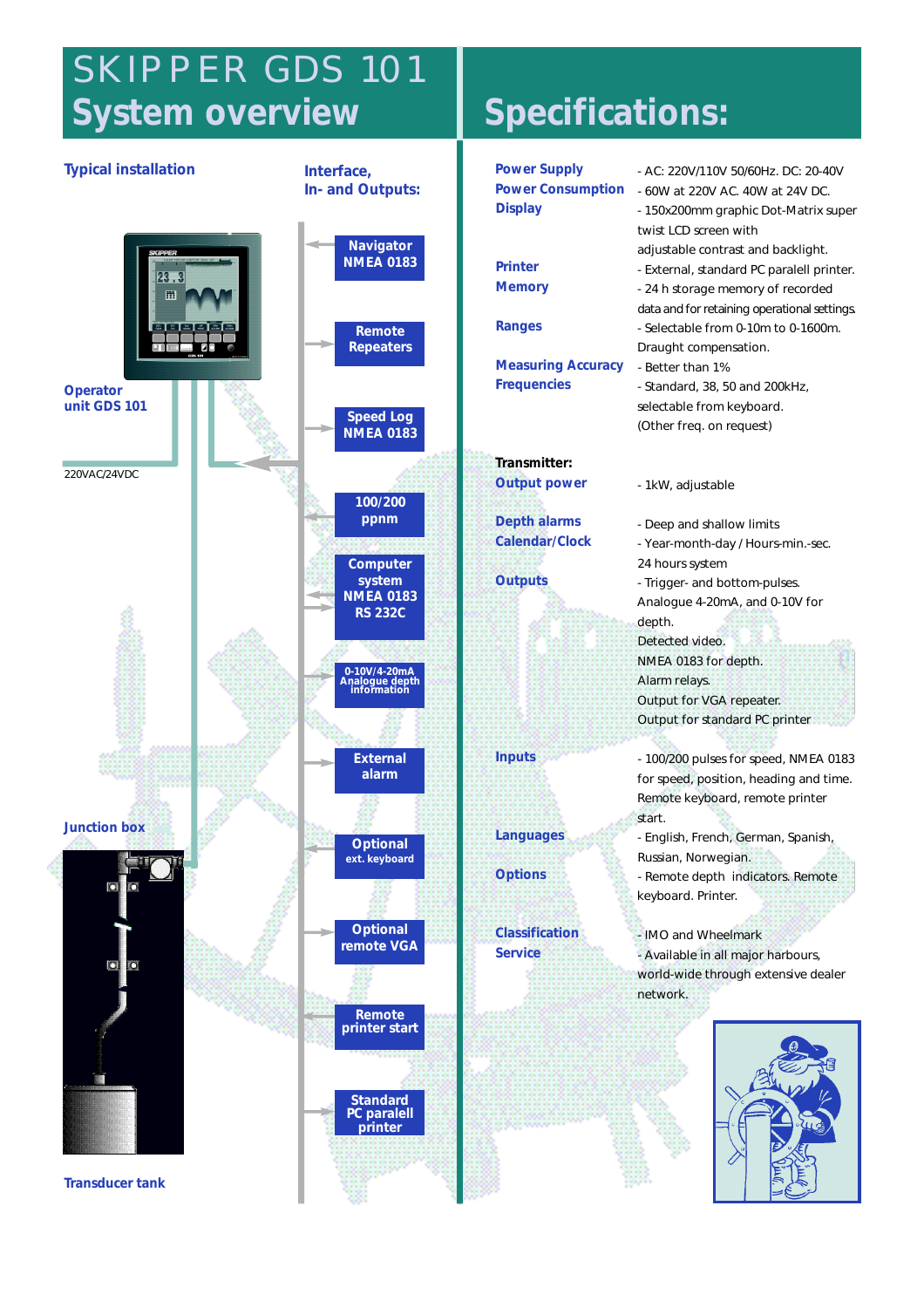### SKIPPER GDS 101 System overview | Specifications:

### **Typical installation Interface,**



| <b>Power Supply</b><br><b>Power Consumption</b><br><b>Display</b> | - AC: 220V/110V 50/60Hz. DC: 20-40V<br>- 60W at 220V AC. 40W at 24V DC.<br>- 150x200mm graphic Dot-Matrix super<br>twist LCD screen with                             |
|-------------------------------------------------------------------|----------------------------------------------------------------------------------------------------------------------------------------------------------------------|
| Printer<br><b>Memory</b>                                          | adjustable contrast and backlight.<br>- External, standard PC paralell printer.<br>- 24 h storage memory of recorded<br>data and for retaining operational settings. |
| <b>Ranges</b>                                                     | - Selectable from 0-10m to 0-1600m.<br>Draught compensation.                                                                                                         |
| <b>Measuring Accuracy</b><br><b>Frequencies</b>                   | - Better than 1%<br>- Standard, 38, 50 and 200kHz,<br>selectable from keyboard.<br>(Other freq. on request)                                                          |
| Transmitter:                                                      |                                                                                                                                                                      |
| <b>Output power</b>                                               | - 1kW, adjustable                                                                                                                                                    |
| <b>Depth alarms</b>                                               | - Deep and shallow limits                                                                                                                                            |
| <b>Calendar/Clock</b>                                             | - Year-month-day / Hours-min.-sec.                                                                                                                                   |
| <b>Outputs</b>                                                    | 24 hours system                                                                                                                                                      |
|                                                                   | - Trigger- and bottom-pulses.                                                                                                                                        |
|                                                                   | Analogue 4-20mA, and 0-10V for                                                                                                                                       |
|                                                                   | depth.<br>Detected video.                                                                                                                                            |
|                                                                   | NMEA 0183 for depth.                                                                                                                                                 |
|                                                                   | Alarm relays.                                                                                                                                                        |
|                                                                   | Output for VGA repeater.                                                                                                                                             |
|                                                                   | Output for standard PC printer                                                                                                                                       |
|                                                                   |                                                                                                                                                                      |
| <b>Inputs</b>                                                     | - 100/200 pulses for speed, NMEA 0183                                                                                                                                |
|                                                                   | for speed, position, heading and time.                                                                                                                               |
|                                                                   | Remote keyboard, remote printer                                                                                                                                      |
| <b>Languages</b>                                                  | start.                                                                                                                                                               |
|                                                                   | - English, French, German, Spanish,<br>Russian, Norwegian.                                                                                                           |
| <b>Options</b>                                                    | - Remote depth indicators. Remote                                                                                                                                    |
|                                                                   | keyboard. Printer.                                                                                                                                                   |
|                                                                   |                                                                                                                                                                      |
| <b>Classification</b>                                             | IMO and Wheelmark                                                                                                                                                    |
| <b>Service</b>                                                    | Available in all major harbours,                                                                                                                                     |
|                                                                   | world-wide through extensive dealer                                                                                                                                  |
|                                                                   | network.                                                                                                                                                             |
|                                                                   |                                                                                                                                                                      |
|                                                                   |                                                                                                                                                                      |
|                                                                   |                                                                                                                                                                      |
|                                                                   |                                                                                                                                                                      |
|                                                                   |                                                                                                                                                                      |
|                                                                   |                                                                                                                                                                      |